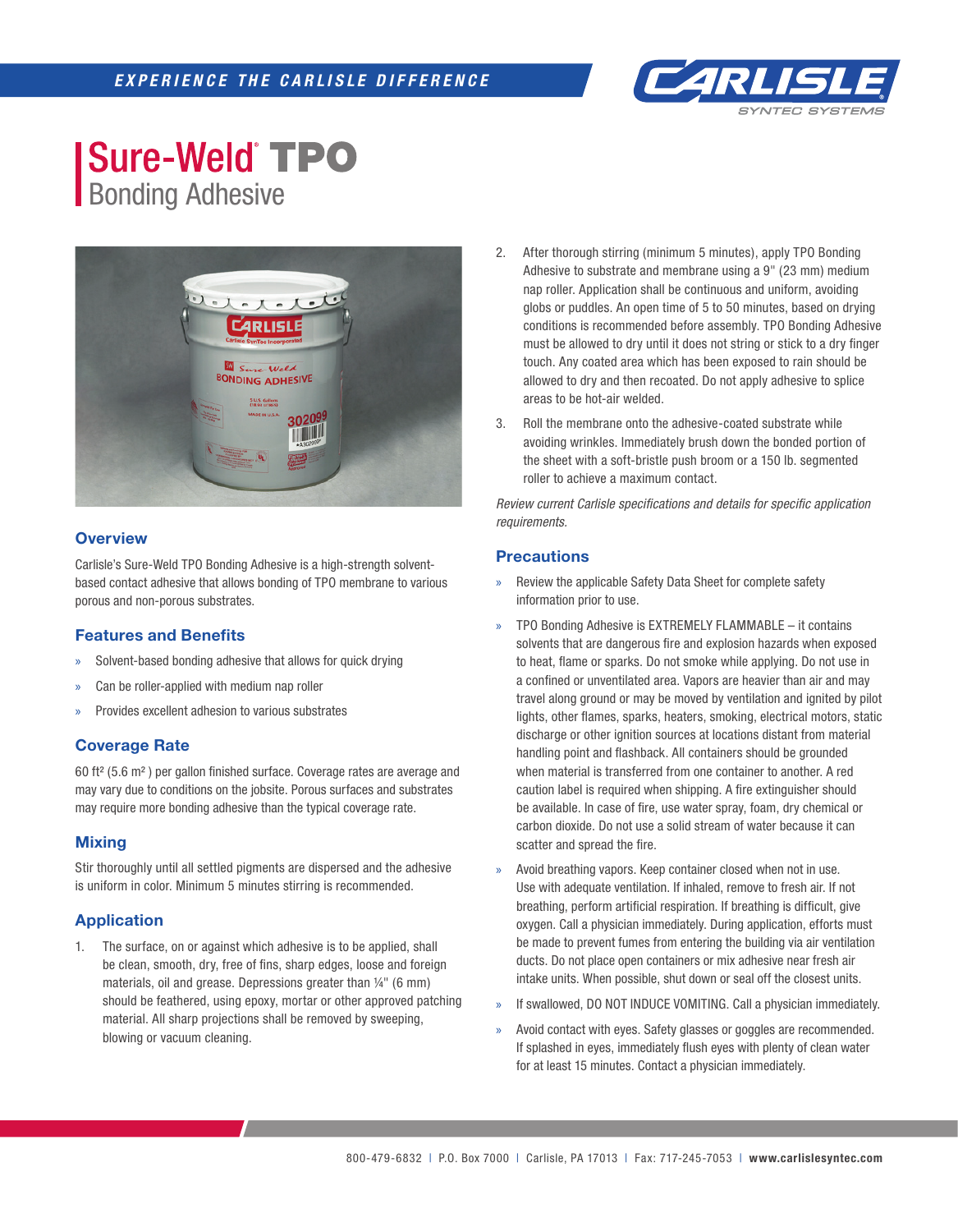

## **Sure-Weld TPO** Bonding Adhesive



## **Overview**

Carlisle's Sure-Weld TPO Bonding Adhesive is a high-strength solventbased contact adhesive that allows bonding of TPO membrane to various porous and non-porous substrates.

#### **Features and Benefits**

- Solvent-based bonding adhesive that allows for quick drying
- Can be roller-applied with medium nap roller
- » Provides excellent adhesion to various substrates

#### **Coverage Rate**

60 ft<sup>2</sup> (5.6 m<sup>2</sup>) per gallon finished surface. Coverage rates are average and may vary due to conditions on the jobsite. Porous surfaces and substrates may require more bonding adhesive than the typical coverage rate.

#### **Mixing**

Stir thoroughly until all settled pigments are dispersed and the adhesive is uniform in color. Minimum 5 minutes stirring is recommended.

## **Application**

1. The surface, on or against which adhesive is to be applied, shall be clean, smooth, dry, free of fins, sharp edges, loose and foreign materials, oil and grease. Depressions greater than ¼" (6 mm) should be feathered, using epoxy, mortar or other approved patching material. All sharp projections shall be removed by sweeping, blowing or vacuum cleaning.

- 2. After thorough stirring (minimum 5 minutes), apply TPO Bonding Adhesive to substrate and membrane using a 9" (23 mm) medium nap roller. Application shall be continuous and uniform, avoiding globs or puddles. An open time of 5 to 50 minutes, based on drying conditions is recommended before assembly. TPO Bonding Adhesive must be allowed to dry until it does not string or stick to a dry finger touch. Any coated area which has been exposed to rain should be allowed to dry and then recoated. Do not apply adhesive to splice areas to be hot-air welded.
- 3. Roll the membrane onto the adhesive-coated substrate while avoiding wrinkles. Immediately brush down the bonded portion of the sheet with a soft-bristle push broom or a 150 lb. segmented roller to achieve a maximum contact.

**Review current Carlisle specifications and details for specific application** *requirements.*

#### **Precautions**

- » Review the applicable Safety Data Sheet for complete safety information prior to use.
- » TPO Bonding Adhesive is EXTREMELY FLAMMABLE it contains solvents that are dangerous fire and explosion hazards when exposed to heat, flame or sparks. Do not smoke while applying. Do not use in a confined or unventilated area. Vapors are heavier than air and may travel along ground or may be moved by ventilation and ignited by pilot lights, other flames, sparks, heaters, smoking, electrical motors, static discharge or other ignition sources at locations distant from material handling point and flashback. All containers should be grounded when material is transferred from one container to another. A red caution label is required when shipping. A fire extinguisher should be available. In case of fire, use water spray, foam, dry chemical or carbon dioxide. Do not use a solid stream of water because it can scatter and spread the fire.
- » Avoid breathing vapors. Keep container closed when not in use. Use with adequate ventilation. If inhaled, remove to fresh air. If not breathing, perform artificial respiration. If breathing is difficult, give oxygen. Call a physician immediately. During application, efforts must be made to prevent fumes from entering the building via air ventilation ducts. Do not place open containers or mix adhesive near fresh air intake units. When possible, shut down or seal off the closest units.
- If swallowed, DO NOT INDUCE VOMITING. Call a physician immediately.
- Avoid contact with eyes. Safety glasses or goggles are recommended. If splashed in eyes, immediately flush eyes with plenty of clean water for at least 15 minutes. Contact a physician immediately.